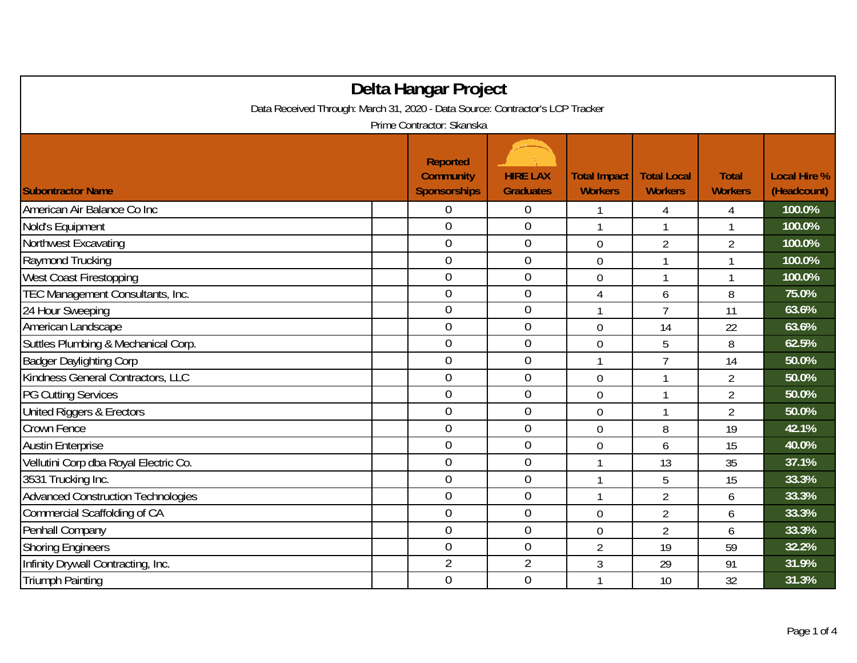| Delta Hangar Project                                                          |  |                                                            |                                     |                                       |                                      |                                |                                    |  |  |
|-------------------------------------------------------------------------------|--|------------------------------------------------------------|-------------------------------------|---------------------------------------|--------------------------------------|--------------------------------|------------------------------------|--|--|
| Data Received Through: March 31, 2020 - Data Source: Contractor's LCP Tracker |  |                                                            |                                     |                                       |                                      |                                |                                    |  |  |
| Prime Contractor: Skanska                                                     |  |                                                            |                                     |                                       |                                      |                                |                                    |  |  |
| <b>Subontractor Name</b>                                                      |  | <b>Reported</b><br><b>Community</b><br><b>Sponsorships</b> | <b>HIRE LAX</b><br><b>Graduates</b> | <b>Total Impact</b><br><b>Workers</b> | <b>Total Local</b><br><b>Workers</b> | <b>Total</b><br><b>Workers</b> | <b>Local Hire %</b><br>(Headcount) |  |  |
| American Air Balance Co Inc                                                   |  | 0                                                          | 0                                   |                                       | 4                                    | 4                              | 100.0%                             |  |  |
| Nold's Equipment                                                              |  | $\mathbf 0$                                                | $\mathbf 0$                         | $\mathbf{1}$                          | 1                                    | $\mathbf{1}$                   | 100.0%                             |  |  |
| Northwest Excavating                                                          |  | $\theta$                                                   | $\boldsymbol{0}$                    | $\mathbf 0$                           | $\overline{2}$                       | $\overline{2}$                 | 100.0%                             |  |  |
| Raymond Trucking                                                              |  | $\overline{0}$                                             | $\overline{0}$                      | $\overline{0}$                        | 1                                    | 1                              | 100.0%                             |  |  |
| West Coast Firestopping                                                       |  | $\overline{0}$                                             | $\mathbf{0}$                        | 0                                     |                                      | 1                              | 100.0%                             |  |  |
| TEC Management Consultants, Inc.                                              |  | $\overline{0}$                                             | $\overline{0}$                      | 4                                     | 6                                    | 8                              | 75.0%                              |  |  |
| 24 Hour Sweeping                                                              |  | $\overline{0}$                                             | $\boldsymbol{0}$                    | 1                                     | $\overline{7}$                       | 11                             | 63.6%                              |  |  |
| American Landscape                                                            |  | $\mathbf 0$                                                | $\mathbf 0$                         | $\overline{0}$                        | 14                                   | 22                             | 63.6%                              |  |  |
| Suttles Plumbing & Mechanical Corp.                                           |  | $\overline{0}$                                             | $\mathbf 0$                         | $\mathbf 0$                           | 5                                    | 8                              | 62.5%                              |  |  |
| <b>Badger Daylighting Corp</b>                                                |  | $\overline{0}$                                             | $\overline{0}$                      | 1                                     | $\overline{7}$                       | 14                             | 50.0%                              |  |  |
| Kindness General Contractors, LLC                                             |  | $\overline{0}$                                             | $\mathbf 0$                         | $\overline{0}$                        | 1                                    | $\overline{2}$                 | 50.0%                              |  |  |
| <b>PG Cutting Services</b>                                                    |  | 0                                                          | $\mathbf{0}$                        | $\mathbf 0$                           |                                      | $\overline{2}$                 | 50.0%                              |  |  |
| United Riggers & Erectors                                                     |  | $\overline{0}$                                             | $\overline{0}$                      | $\overline{0}$                        | 1                                    | $\overline{2}$                 | 50.0%                              |  |  |
| Crown Fence                                                                   |  | $\overline{0}$                                             | $\mathbf 0$                         | $\mathbf 0$                           | 8                                    | 19                             | 42.1%                              |  |  |
| <b>Austin Enterprise</b>                                                      |  | $\overline{0}$                                             | $\mathbf 0$                         | $\overline{0}$                        | 6                                    | 15                             | 40.0%                              |  |  |
| Vellutini Corp dba Royal Electric Co.                                         |  | $\overline{0}$                                             | $\boldsymbol{0}$                    | 1                                     | 13                                   | 35                             | 37.1%                              |  |  |
| 3531 Trucking Inc.                                                            |  | $\mathbf 0$                                                | $\mathbf{0}$                        | 1                                     | 5                                    | 15                             | 33.3%                              |  |  |
| <b>Advanced Construction Technologies</b>                                     |  | $\overline{0}$                                             | $\mathbf 0$                         | 1                                     | $\overline{2}$                       | 6                              | 33.3%                              |  |  |
| Commercial Scaffolding of CA                                                  |  | $\theta$                                                   | $\overline{0}$                      | $\overline{0}$                        | $\overline{2}$                       | 6                              | 33.3%                              |  |  |
| Penhall Company                                                               |  | $\overline{0}$                                             | $\mathbf 0$                         | 0                                     | $\overline{2}$                       | 6                              | 33.3%                              |  |  |
| <b>Shoring Engineers</b>                                                      |  | $\overline{0}$                                             | $\mathbf 0$                         | $\overline{2}$                        | 19                                   | 59                             | 32.2%                              |  |  |
| Infinity Drywall Contracting, Inc.                                            |  | $\overline{2}$                                             | $\overline{2}$                      | 3                                     | 29                                   | 91                             | 31.9%                              |  |  |
| <b>Triumph Painting</b>                                                       |  | $\overline{0}$                                             | $\overline{0}$                      | 1                                     | 10                                   | 32                             | 31.3%                              |  |  |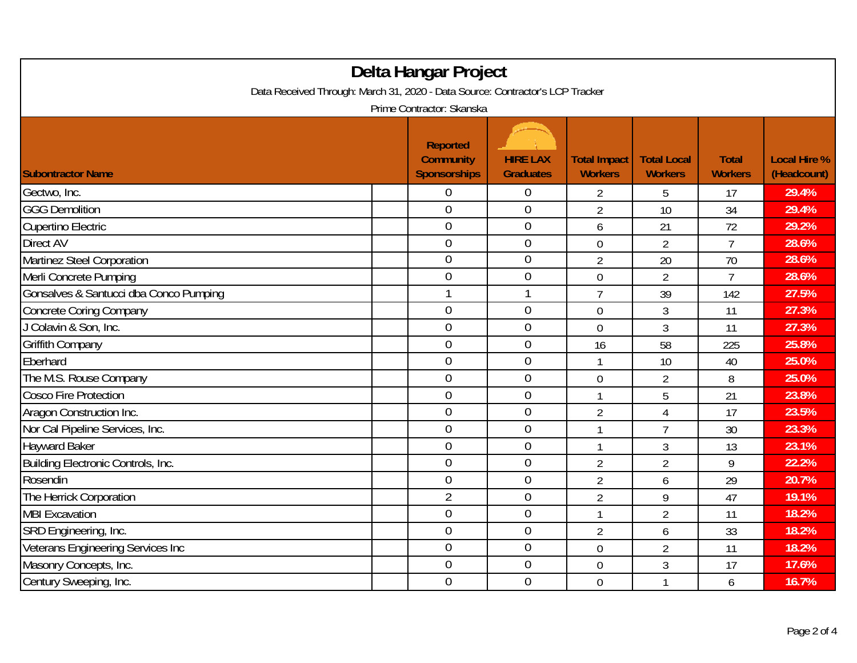| Delta Hangar Project<br>Data Received Through: March 31, 2020 - Data Source: Contractor's LCP Tracker |                                                            |                                     |                                       |                                      |                                |                                    |  |  |
|-------------------------------------------------------------------------------------------------------|------------------------------------------------------------|-------------------------------------|---------------------------------------|--------------------------------------|--------------------------------|------------------------------------|--|--|
| Prime Contractor: Skanska                                                                             |                                                            |                                     |                                       |                                      |                                |                                    |  |  |
| <b>Subontractor Name</b>                                                                              | <b>Reported</b><br><b>Community</b><br><b>Sponsorships</b> | <b>HIRE LAX</b><br><b>Graduates</b> | <b>Total Impact</b><br><b>Workers</b> | <b>Total Local</b><br><b>Workers</b> | <b>Total</b><br><b>Workers</b> | <b>Local Hire %</b><br>(Headcount) |  |  |
| Gectwo, Inc.                                                                                          | 0                                                          | $\boldsymbol{0}$                    | 2                                     | 5                                    | 17                             | 29.4%                              |  |  |
| <b>GGG Demolition</b>                                                                                 | $\overline{0}$                                             | $\mathbf 0$                         | $\overline{2}$                        | 10                                   | 34                             | 29.4%                              |  |  |
| <b>Cupertino Electric</b>                                                                             | $\overline{0}$                                             | $\mathbf 0$                         | 6                                     | 21                                   | 72                             | 29.2%                              |  |  |
| Direct AV                                                                                             | $\mathbf 0$                                                | $\boldsymbol{0}$                    | $\mathbf 0$                           | $\overline{2}$                       | $\overline{1}$                 | 28.6%                              |  |  |
| Martinez Steel Corporation                                                                            | $\overline{0}$                                             | $\mathbf 0$                         | $\overline{2}$                        | 20                                   | 70                             | 28.6%                              |  |  |
| Merli Concrete Pumping                                                                                | $\overline{0}$                                             | $\mathbf 0$                         | $\overline{0}$                        | $\overline{2}$                       | $\overline{7}$                 | 28.6%                              |  |  |
| Gonsalves & Santucci dba Conco Pumping                                                                |                                                            | 1                                   | $\overline{7}$                        | 39                                   | 142                            | 27.5%                              |  |  |
| <b>Concrete Coring Company</b>                                                                        | $\overline{0}$                                             | $\mathbf 0$                         | $\overline{0}$                        | 3                                    | 11                             | 27.3%                              |  |  |
| J Colavin & Son, Inc.                                                                                 | $\mathbf 0$                                                | $\mathbf 0$                         | $\overline{0}$                        | 3                                    | 11                             | 27.3%                              |  |  |
| <b>Griffith Company</b>                                                                               | $\mathbf 0$                                                | $\mathbf 0$                         | 16                                    | 58                                   | 225                            | 25.8%                              |  |  |
| Eberhard                                                                                              | $\overline{0}$                                             | $\mathbf 0$                         | 1                                     | 10                                   | 40                             | 25.0%                              |  |  |
| The M.S. Rouse Company                                                                                | $\mathbf 0$                                                | $\mathbf 0$                         | $\overline{0}$                        | $\overline{2}$                       | 8                              | 25.0%                              |  |  |
| <b>Cosco Fire Protection</b>                                                                          | $\mathbf 0$                                                | $\mathbf 0$                         | $\mathbf{1}$                          | 5                                    | 21                             | 23.8%                              |  |  |
| Aragon Construction Inc.                                                                              | $\overline{0}$                                             | $\mathbf 0$                         | $\overline{2}$                        | 4                                    | 17                             | 23.5%                              |  |  |
| Nor Cal Pipeline Services, Inc.                                                                       | $\overline{0}$                                             | $\boldsymbol{0}$                    | $\mathbf{1}$                          | $\overline{7}$                       | 30                             | 23.3%                              |  |  |
| <b>Hayward Baker</b>                                                                                  | $\overline{0}$                                             | $\mathbf 0$                         | $\mathbf{1}$                          | $\mathfrak{Z}$                       | 13                             | 23.1%                              |  |  |
| Building Electronic Controls, Inc.                                                                    | $\overline{0}$                                             | $\overline{0}$                      | $\overline{2}$                        | $\overline{2}$                       | 9                              | 22.2%                              |  |  |
| Rosendin                                                                                              | $\overline{0}$                                             | $\overline{0}$                      | $\overline{2}$                        | 6                                    | 29                             | 20.7%                              |  |  |
| The Herrick Corporation                                                                               | $\overline{2}$                                             | $\overline{0}$                      | $\overline{2}$                        | 9                                    | 47                             | 19.1%                              |  |  |
| <b>MBI Excavation</b>                                                                                 | $\overline{0}$                                             | $\mathbf 0$                         | $\mathbf{1}$                          | $\overline{2}$                       | 11                             | 18.2%                              |  |  |
| SRD Engineering, Inc.                                                                                 | $\mathbf 0$                                                | $\boldsymbol{0}$                    | $\overline{2}$                        | 6                                    | 33                             | 18.2%                              |  |  |
| Veterans Engineering Services Inc                                                                     | $\overline{0}$                                             | $\mathbf 0$                         | $\overline{0}$                        | $\overline{2}$                       | 11                             | 18.2%                              |  |  |
| Masonry Concepts, Inc.                                                                                | $\boldsymbol{0}$                                           | $\boldsymbol{0}$                    | $\mathbf 0$                           | 3                                    | 17                             | 17.6%                              |  |  |
| Century Sweeping, Inc.                                                                                | $\overline{0}$                                             | $\mathbf 0$                         | $\overline{0}$                        | 1                                    | 6                              | 16.7%                              |  |  |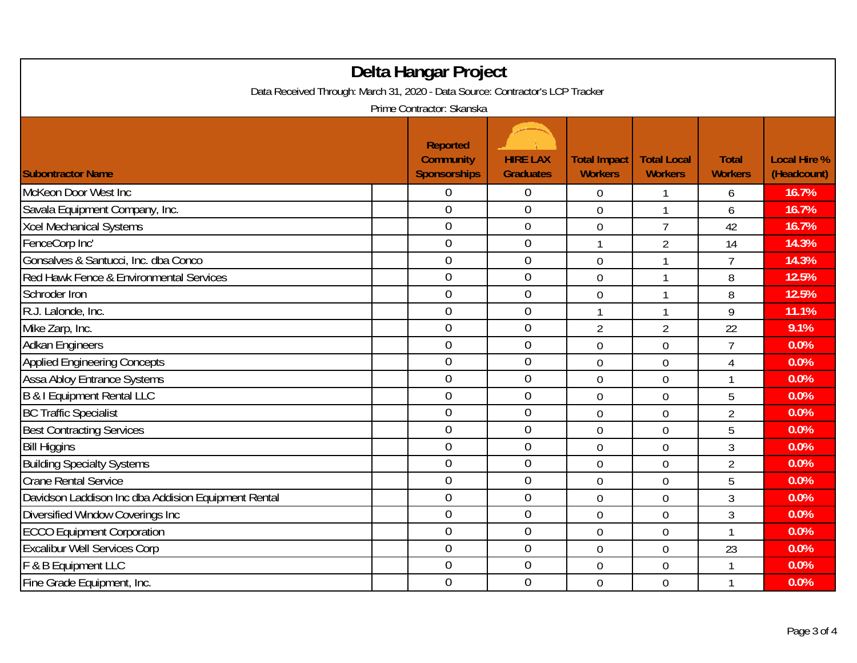| Delta Hangar Project                                                                                       |  |                                                            |                                     |                                       |                                      |                                |                                    |  |
|------------------------------------------------------------------------------------------------------------|--|------------------------------------------------------------|-------------------------------------|---------------------------------------|--------------------------------------|--------------------------------|------------------------------------|--|
| Data Received Through: March 31, 2020 - Data Source: Contractor's LCP Tracker<br>Prime Contractor: Skanska |  |                                                            |                                     |                                       |                                      |                                |                                    |  |
| <b>Subontractor Name</b>                                                                                   |  | <b>Reported</b><br><b>Community</b><br><b>Sponsorships</b> | <b>HIRE LAX</b><br><b>Graduates</b> | <b>Total Impact</b><br><b>Workers</b> | <b>Total Local</b><br><b>Workers</b> | <b>Total</b><br><b>Workers</b> | <b>Local Hire %</b><br>(Headcount) |  |
| McKeon Door West Inc                                                                                       |  | 0                                                          | $\boldsymbol{0}$                    | 0                                     |                                      | 6                              | 16.7%                              |  |
| Savala Equipment Company, Inc.                                                                             |  | $\overline{0}$                                             | $\mathbf 0$                         | $\overline{0}$                        | $\mathbf{1}$                         | 6                              | 16.7%                              |  |
| <b>Xcel Mechanical Systems</b>                                                                             |  | $\overline{0}$                                             | $\boldsymbol{0}$                    | $\mathbf 0$                           | $\overline{7}$                       | 42                             | 16.7%                              |  |
| FenceCorp Inc'                                                                                             |  | 0                                                          | $\boldsymbol{0}$                    | 1                                     | $\overline{2}$                       | 14                             | 14.3%                              |  |
| Gonsalves & Santucci, Inc. dba Conco                                                                       |  | $\overline{0}$                                             | $\mathbf 0$                         | $\overline{0}$                        | $\mathbf{1}$                         | $\overline{7}$                 | 14.3%                              |  |
| Red Hawk Fence & Environmental Services                                                                    |  | $\mathbf 0$                                                | $\mathbf 0$                         | $\overline{0}$                        | 1                                    | 8                              | 12.5%                              |  |
| Schroder Iron                                                                                              |  | $\overline{0}$                                             | $\mathbf{0}$                        | $\overline{0}$                        | $\mathbf{1}$                         | 8                              | 12.5%                              |  |
| R.J. Lalonde, Inc.                                                                                         |  | $\overline{0}$                                             | $\overline{0}$                      | 1                                     | 1                                    | 9                              | 11.1%                              |  |
| Mike Zarp, Inc.                                                                                            |  | $\overline{0}$                                             | $\boldsymbol{0}$                    | $\overline{2}$                        | $\overline{2}$                       | 22                             | 9.1%                               |  |
| <b>Adkan Engineers</b>                                                                                     |  | $\mathbf 0$                                                | $\mathbf 0$                         | $\overline{0}$                        | $\overline{0}$                       | $\overline{1}$                 | 0.0%                               |  |
| <b>Applied Engineering Concepts</b>                                                                        |  | $\overline{0}$                                             | $\mathbf 0$                         | $\overline{0}$                        | $\overline{0}$                       | $\overline{4}$                 | 0.0%                               |  |
| <b>Assa Abloy Entrance Systems</b>                                                                         |  | $\overline{0}$                                             | $\mathbf 0$                         | $\overline{0}$                        | $\overline{0}$                       | 1                              | 0.0%                               |  |
| B & I Equipment Rental LLC                                                                                 |  | $\overline{0}$                                             | $\mathbf{0}$                        | $\overline{0}$                        | $\overline{0}$                       | 5                              | 0.0%                               |  |
| <b>BC Traffic Specialist</b>                                                                               |  | $\overline{0}$                                             | $\mathbf 0$                         | $\mathbf 0$                           | $\overline{0}$                       | $\overline{2}$                 | 0.0%                               |  |
| <b>Best Contracting Services</b>                                                                           |  | $\boldsymbol{0}$                                           | $\boldsymbol{0}$                    | $\mathbf 0$                           | 0                                    | 5                              | 0.0%                               |  |
| <b>Bill Higgins</b>                                                                                        |  | $\boldsymbol{0}$                                           | $\mathbf 0$                         | $\mathbf 0$                           | $\mathbf 0$                          | 3                              | 0.0%                               |  |
| <b>Building Specialty Systems</b>                                                                          |  | $\overline{0}$                                             | $\mathbf 0$                         | $\overline{0}$                        | $\overline{0}$                       | $\overline{2}$                 | 0.0%                               |  |
| <b>Crane Rental Service</b>                                                                                |  | $\overline{0}$                                             | $\mathbf 0$                         | $\mathbf 0$                           | 0                                    | 5                              | 0.0%                               |  |
| Davidson Laddison Inc dba Addision Equipment Rental                                                        |  | $\overline{0}$                                             | $\mathbf 0$                         | $\overline{0}$                        | $\overline{0}$                       | 3                              | 0.0%                               |  |
| Diversified Window Coverings Inc                                                                           |  | $\boldsymbol{0}$                                           | $\boldsymbol{0}$                    | $\mathbf 0$                           | $\mathbf 0$                          | 3                              | 0.0%                               |  |
| <b>ECCO Equipment Corporation</b>                                                                          |  | $\overline{0}$                                             | $\boldsymbol{0}$                    | $\mathbf 0$                           | $\mathbf 0$                          | 1                              | 0.0%                               |  |
| <b>Excalibur Well Services Corp</b>                                                                        |  | $\overline{0}$                                             | $\mathbf 0$                         | $\overline{0}$                        | $\mathbf 0$                          | 23                             | 0.0%                               |  |
| F & B Equipment LLC                                                                                        |  | $\boldsymbol{0}$                                           | $\mathbf 0$                         | 0                                     | $\mathbf 0$                          | 1                              | 0.0%                               |  |
| Fine Grade Equipment, Inc.                                                                                 |  | $\mathbf 0$                                                | $\mathbf 0$                         | $\overline{0}$                        | $\overline{0}$                       | $\mathbf{1}$                   | 0.0%                               |  |